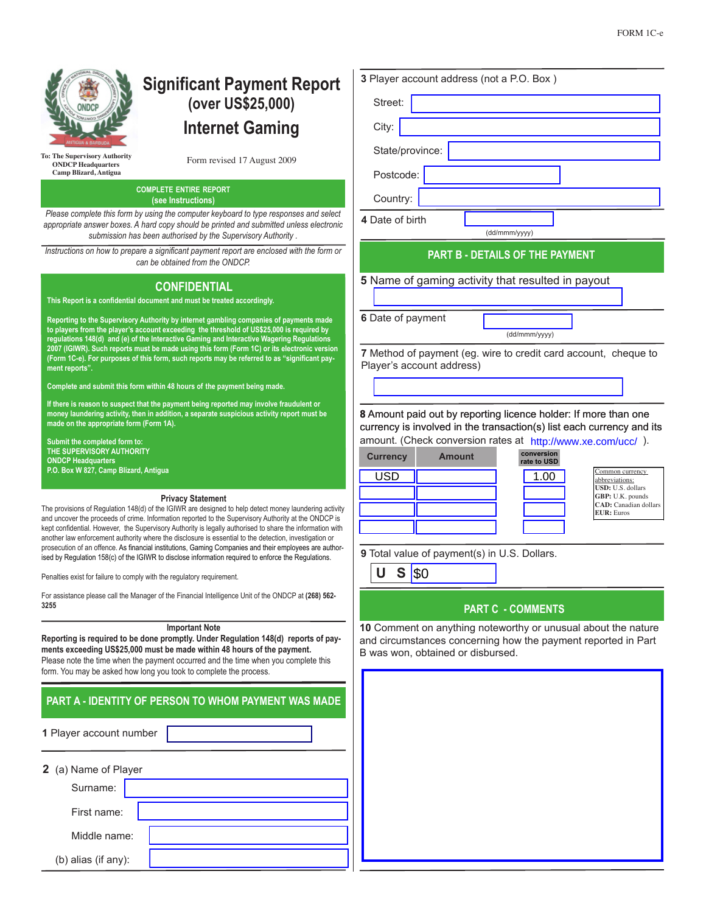

# **Significant Payment Report (over US\$25,000) Internet Gaming**

**ONDCP Headquarters Camp Blizard, Antigua**

Form revised 17 August 2009 **To: The Supervisory Authority**

### **COMPLETE ENTIRE REPORT (see Instructions)**

*Please complete this form by using the computer keyboard to type responses and select and select and select and select and select and select and select and select and select and select and select and select and select and appropriate answer boxes. A hard copy should be printed and submitted unless electronic appropriate submission has been authorised by the Supervisory Authority .*

*Instructions on how to prepare a significant payment report are enclosed with the form or the form or a significant payment report can be obtained from the ONDCP.*

# **CONFIDENTIAL**

**This Report is a confidential document and must be treated accordingly.**

Reporting to the Supervisory Authority by internet gambling companies of payments ma **to players from the player's account exceeding the threshold of US\$25,000 is required by regulations 148(d) and (e) of the Interactive Gaming and Interactive Wagering Regulations 2007 (IGIWR). Such reports must be made using this form (Form 1C) or its electronic version**  (Form 1C-e). For purposes of this form, such reports may be referred to as "significant **payment reports".**

**Complete and submit this form within 48 hours of the payment being made.**

**If there is reason to suspect that the payment being reported may involve fraudulent or money laundering activity, then in addition, a separate suspicious activity report must be made on the appropriate form (Form 1A).**

**Submit the completed form to: THE SUPERVISORY AUTHORITY ONDCP Headquarters P.O. Box W 827, Camp Blizard, Antigua**

#### **Privacy Statement**

The provisions of Regulation  $148(d)$  of the IGIWR are designed to help detect money laundering and uncover the proceeds of crime. Information reported to the Supervisory Authority at the OND kept confidential. However, the Supervisory Authority is legally authorised to share the informatio another law enforcement authority where the disclosure is essential to the detection, investigation prosecution of an offence. As financial institutions, Gaming Companies and their employees are a ised by Regulation 158(c) of the IGIWR to disclose information required to enforce the Regulation

Penalties exist for failure to comply with the regulatory requirement.

For assistance please call the Manager of the Financial Intelligence Unit of the ONDCP at (268) **3255**

### **Important Note**

Reporting is required to be done promptly. Under Regulation 148(d) reports of **ments exceeding US\$25,000 must be made within 48 hours of the payment.** Please note the time when the payment occurred and the time when you complete th form. You may be asked how long you took to complete the process.

## **PART A - IDENTITY OF PERSON TO WHOM PAYMENT WAS M.**

**1** Player account number

| 2 (a) Name of Player |  |  |  |  |  |
|----------------------|--|--|--|--|--|
| Surname:             |  |  |  |  |  |
| First name:          |  |  |  |  |  |
| Middle name:         |  |  |  |  |  |
| (b) alias (if any):  |  |  |  |  |  |

| 3 Player account address (not a P.O. Box)                                                          |               |  |                                                         |                                                                                                                                          |  |
|----------------------------------------------------------------------------------------------------|---------------|--|---------------------------------------------------------|------------------------------------------------------------------------------------------------------------------------------------------|--|
| Street:                                                                                            |               |  |                                                         |                                                                                                                                          |  |
| City:                                                                                              |               |  |                                                         |                                                                                                                                          |  |
| State/province:                                                                                    |               |  |                                                         |                                                                                                                                          |  |
| Postcode:                                                                                          |               |  |                                                         |                                                                                                                                          |  |
| Country:                                                                                           |               |  |                                                         |                                                                                                                                          |  |
| 4 Date of birth                                                                                    |               |  |                                                         |                                                                                                                                          |  |
|                                                                                                    |               |  | (dd/mmm/yyyy)<br><b>PART B - DETAILS OF THE PAYMENT</b> |                                                                                                                                          |  |
|                                                                                                    |               |  | 5 Name of gaming activity that resulted in payout       |                                                                                                                                          |  |
|                                                                                                    |               |  |                                                         |                                                                                                                                          |  |
| 6 Date of payment                                                                                  |               |  |                                                         |                                                                                                                                          |  |
|                                                                                                    |               |  | (dd/mmm/yyyy)                                           |                                                                                                                                          |  |
| Player's account address)                                                                          |               |  |                                                         | 7 Method of payment (eg. wire to credit card account, cheque to                                                                          |  |
|                                                                                                    |               |  |                                                         |                                                                                                                                          |  |
|                                                                                                    |               |  |                                                         |                                                                                                                                          |  |
|                                                                                                    |               |  |                                                         | 8 Amount paid out by reporting licence holder: If more than one<br>currency is involved in the transaction(s) list each currency and its |  |
|                                                                                                    |               |  |                                                         | amount. (Check conversion rates at http://www.xe.com/ucc/).                                                                              |  |
| <b>Currency</b>                                                                                    | <b>Amount</b> |  | conversion<br>rate to USD                               |                                                                                                                                          |  |
| <b>USD</b>                                                                                         |               |  | 1.00                                                    | Common currency<br>abbreviations:<br>USD: U.S. dollars                                                                                   |  |
|                                                                                                    |               |  |                                                         | GBP: U.K. pounds<br><b>CAD</b> : Canadian dollars                                                                                        |  |
|                                                                                                    |               |  |                                                         | <b>EUR</b> : Euros                                                                                                                       |  |
|                                                                                                    |               |  |                                                         |                                                                                                                                          |  |
| 9 Total value of payment(s) in U.S. Dollars.                                                       |               |  |                                                         |                                                                                                                                          |  |
| U<br>S                                                                                             | \$0           |  |                                                         |                                                                                                                                          |  |
|                                                                                                    |               |  |                                                         |                                                                                                                                          |  |
|                                                                                                    |               |  | <b>PART C - COMMENTS</b>                                |                                                                                                                                          |  |
|                                                                                                    |               |  |                                                         | 10 Comment on anything noteworthy or unusual about the nature                                                                            |  |
| and circumstances concerning how the payment reported in Part<br>B was won, obtained or disbursed. |               |  |                                                         |                                                                                                                                          |  |
|                                                                                                    |               |  |                                                         |                                                                                                                                          |  |
|                                                                                                    |               |  |                                                         |                                                                                                                                          |  |
|                                                                                                    |               |  |                                                         |                                                                                                                                          |  |
|                                                                                                    |               |  |                                                         |                                                                                                                                          |  |
|                                                                                                    |               |  |                                                         |                                                                                                                                          |  |
|                                                                                                    |               |  |                                                         |                                                                                                                                          |  |
|                                                                                                    |               |  |                                                         |                                                                                                                                          |  |
|                                                                                                    |               |  |                                                         |                                                                                                                                          |  |
|                                                                                                    |               |  |                                                         |                                                                                                                                          |  |
|                                                                                                    |               |  |                                                         |                                                                                                                                          |  |
|                                                                                                    |               |  |                                                         |                                                                                                                                          |  |
|                                                                                                    |               |  |                                                         |                                                                                                                                          |  |